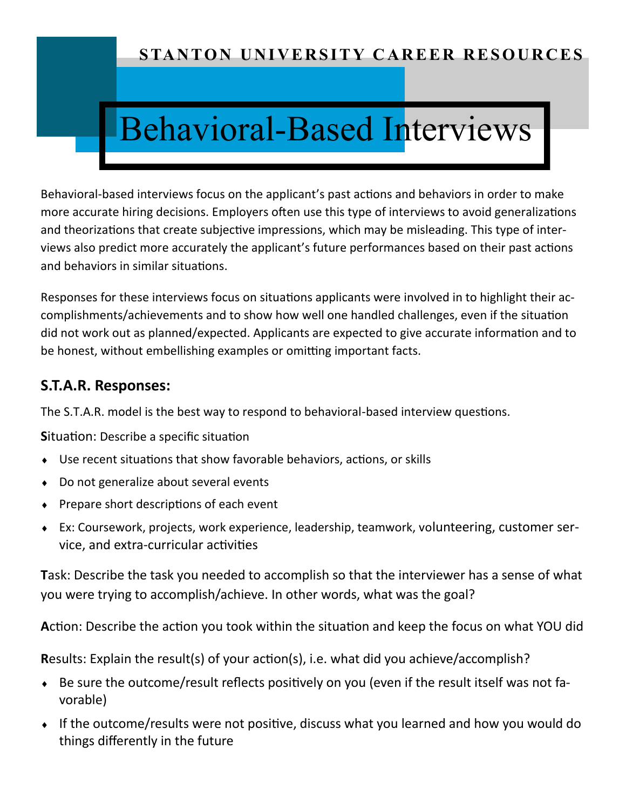# **STANTON UNIVERSITY CAREER RESOURCES**

# Behavioral-Based Interviews

Behavioral-based interviews focus on the applicant's past actions and behaviors in order to make more accurate hiring decisions. Employers often use this type of interviews to avoid generalizations and theorizations that create subjective impressions, which may be misleading. This type of interviews also predict more accurately the applicant's future performances based on their past actions and behaviors in similar situations.

Responses for these interviews focus on situations applicants were involved in to highlight their accomplishments/achievements and to show how well one handled challenges, even if the situation did not work out as planned/expected. Applicants are expected to give accurate information and to be honest, without embellishing examples or omitting important facts.

#### **S.T.A.R. Responses:**

The S.T.A.R. model is the best way to respond to behavioral-based interview questions.

**S**ituation: Describe a specific situation

- Use recent situations that show favorable behaviors, actions, or skills
- Do not generalize about several events
- ◆ Prepare short descriptions of each event
- Ex: Coursework, projects, work experience, leadership, teamwork, volunteering, customer service, and extra-curricular activities

**T**ask: Describe the task you needed to accomplish so that the interviewer has a sense of what you were trying to accomplish/achieve. In other words, what was the goal?

**A**ction: Describe the action you took within the situation and keep the focus on what YOU did

**R**esults: Explain the result(s) of your action(s), i.e. what did you achieve/accomplish?

- Be sure the outcome/result reflects positively on you (even if the result itself was not favorable)
- If the outcome/results were not positive, discuss what you learned and how you would do things differently in the future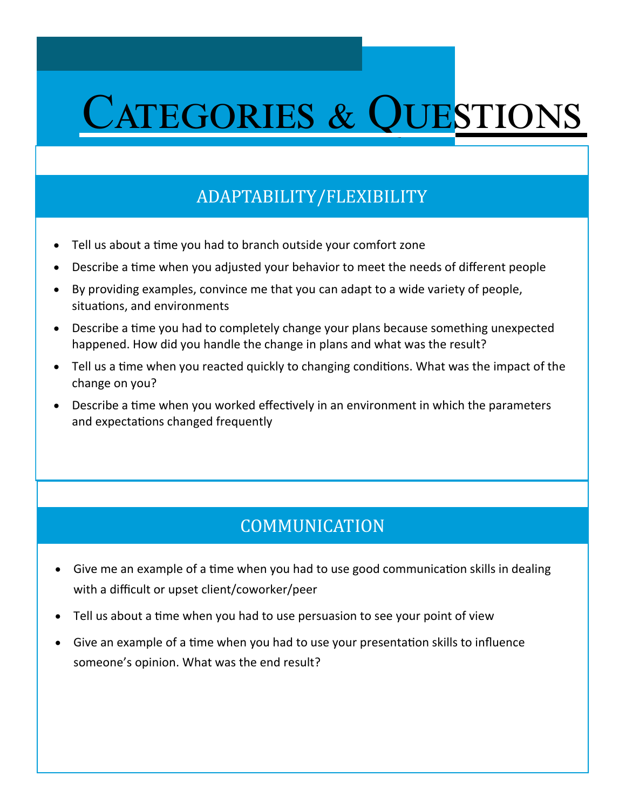# CATEGORIES & QUESTIONS

# ADAPTABILITY/FLEXIBILITY

- Tell us about a time you had to branch outside your comfort zone
- Describe a time when you adjusted your behavior to meet the needs of different people
- By providing examples, convince me that you can adapt to a wide variety of people, situations, and environments
- Describe a time you had to completely change your plans because something unexpected happened. How did you handle the change in plans and what was the result?
- Tell us a time when you reacted quickly to changing conditions. What was the impact of the change on you?
- Describe a time when you worked effectively in an environment in which the parameters and expectations changed frequently

# COMMUNICATION

- Give me an example of a time when you had to use good communication skills in dealing with a difficult or upset client/coworker/peer
- Tell us about a time when you had to use persuasion to see your point of view
- Give an example of a time when you had to use your presentation skills to influence someone's opinion. What was the end result?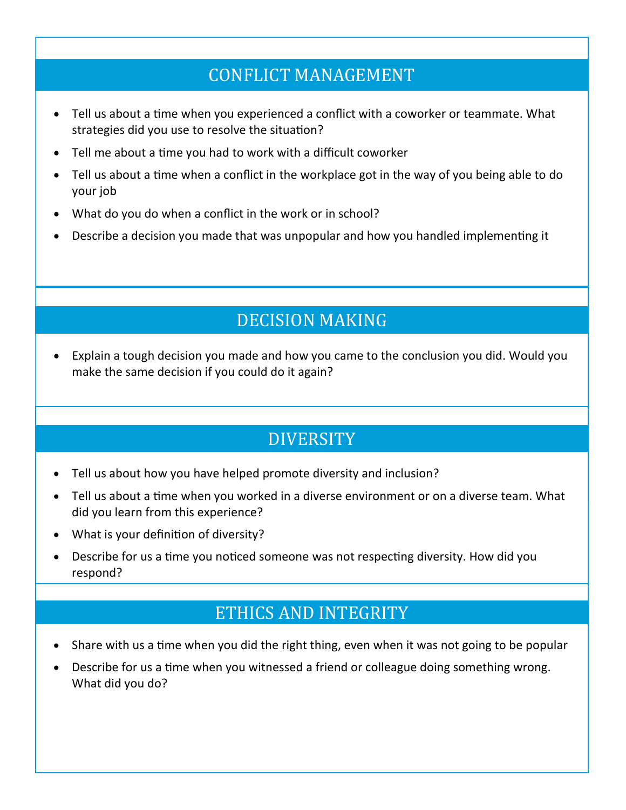# CONFLICT MANAGEMENT

- Tell us about a time when you experienced a conflict with a coworker or teammate. What strategies did you use to resolve the situation?
- Tell me about a time you had to work with a difficult coworker
- Tell us about a time when a conflict in the workplace got in the way of you being able to do your job
- What do you do when a conflict in the work or in school?
- Describe a decision you made that was unpopular and how you handled implementing it

# DECISION MAKING

• Explain a tough decision you made and how you came to the conclusion you did. Would you make the same decision if you could do it again?

# DIVERSITY

- Tell us about how you have helped promote diversity and inclusion?
- Tell us about a time when you worked in a diverse environment or on a diverse team. What did you learn from this experience?
- What is your definition of diversity?
- Describe for us a time you noticed someone was not respecting diversity. How did you respond?

#### ETHICS AND INTEGRITY

- Share with us a time when you did the right thing, even when it was not going to be popular
- Describe for us a time when you witnessed a friend or colleague doing something wrong. What did you do?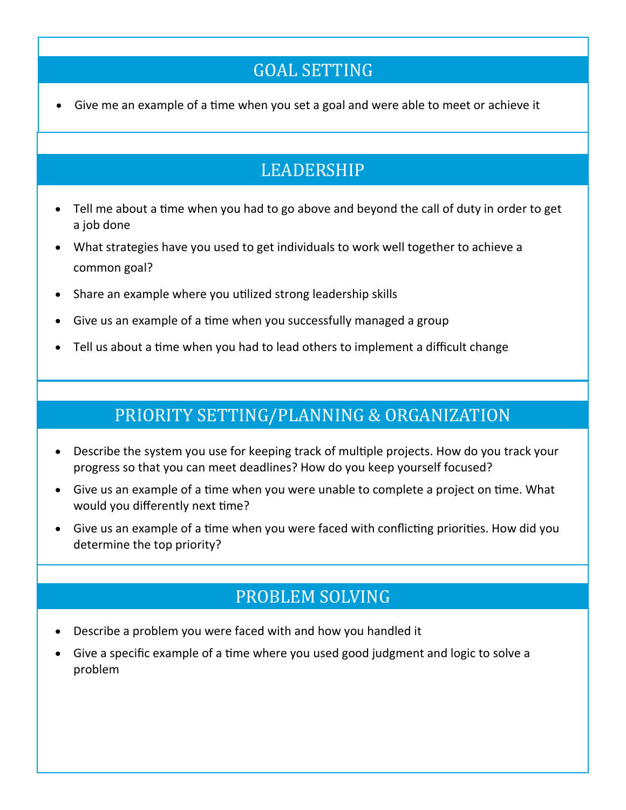# GOAL SETTING

• Give me an example of a time when you set a goal and were able to meet or achieve it

# LEADERSHIP

- Tell me about a time when you had to go above and beyond the call of duty in order to get a job done
- What strategies have you used to get individuals to work well together to achieve a common goal?
- Share an example where you utilized strong leadership skills
- Give us an example of a time when you successfully managed a group
- Tell us about a time when you had to lead others to implement a difficult change

# PRIORITY SETTING/PLANNING & ORGANIZATION

- Describe the system you use for keeping track of multiple projects. How do you track your progress so that you can meet deadlines? How do you keep yourself focused?
- Give us an example of a time when you were unable to complete a project on time. What would you differently next time?
- Give us an example of a time when you were faced with conflicting priorities. How did you determine the top priority?

# PROBLEM SOLVING

- Describe a problem you were faced with and how you handled it
- Give a specific example of a time where you used good judgment and logic to solve a problem